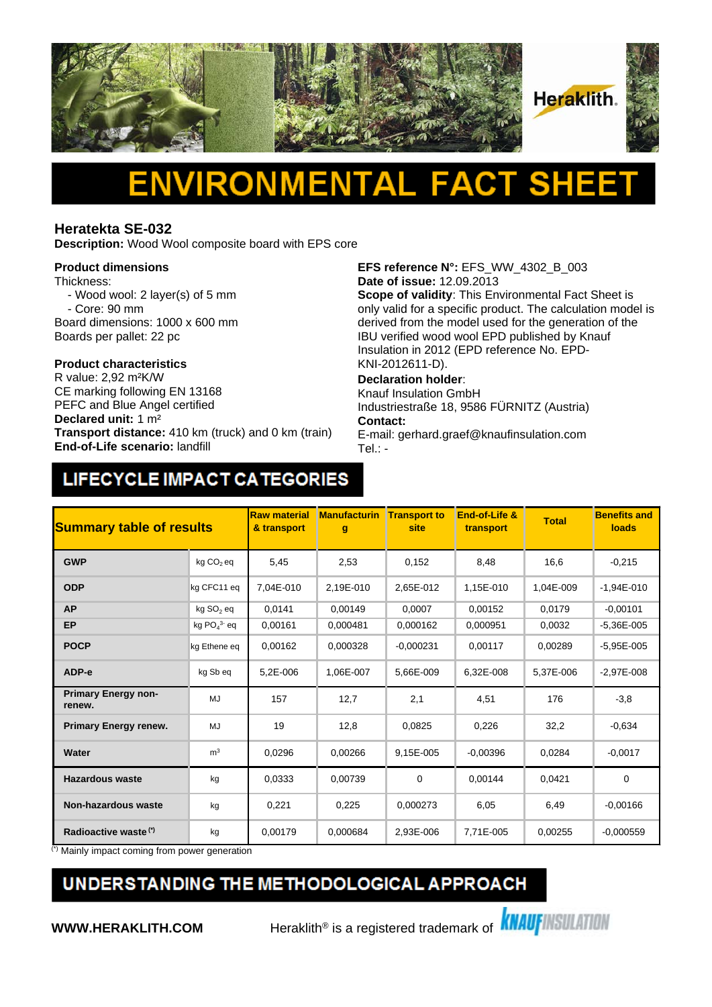

# Δ

### **Heratekta SE-032**

**Description:** Wood Wool composite board with EPS core

#### **Product dimensions**

Thickness:

- Wood wool: 2 layer(s) of 5 mm - Core: 90 mm
- Board dimensions: 1000 x 600 mm
- Boards per pallet: 22 pc

## **Product characteristics**

CE marking following EN 13168 PEFC and Blue Angel certified **Declared unit:** 1 m² **Transport distance:** 410 km (truck) and 0 km (train) **End-of-Life scenario:** landfill

**EFS reference N°:** EFS\_WW\_4302\_B\_003 **Date of issue:** 12.09.2013

**Scope of validity**: This Environmental Fact Sheet is only valid for a specific product. The calculation model is derived from the model used for the generation of the IBU verified wood wool EPD published by Knauf Insulation in 2012 (EPD reference No. EPD-KNI-2012611-D).

#### **Declaration holder**:

Knauf Insulation GmbH Industriestraße 18, 9586 FÜRNITZ (Austria) **Contact:** 

E-mail: gerhard.graef@knaufinsulation.com Tel.: -

### LIFECYCLE IMPACT CATEGORIES

| <b>Summary table of results</b>      |                          | <b>Raw material</b><br>& transport | <b>Manufacturin</b><br>g | <b>Transport to</b><br>site | End-of-Life &<br>transport | <b>Total</b> | <b>Benefits and</b><br>loads |
|--------------------------------------|--------------------------|------------------------------------|--------------------------|-----------------------------|----------------------------|--------------|------------------------------|
| <b>GWP</b>                           | kg CO <sub>2</sub> eq    | 5,45                               | 2,53                     | 0,152                       | 8,48                       | 16,6         | $-0,215$                     |
| <b>ODP</b>                           | kg CFC11 eq              | 7.04E-010                          | 2.19E-010                | 2.65E-012                   | 1,15E-010                  | 1,04E-009    | $-1.94E - 010$               |
| <b>AP</b>                            | kg SO <sub>2</sub> eq    | 0,0141                             | 0,00149                  | 0,0007                      | 0,00152                    | 0,0179       | $-0,00101$                   |
| <b>EP</b>                            | kg $PO4$ <sup>3</sup> eq | 0.00161                            | 0.000481                 | 0.000162                    | 0.000951                   | 0,0032       | $-5.36E - 005$               |
| <b>POCP</b>                          | kg Ethene eq             | 0,00162                            | 0,000328                 | $-0.000231$                 | 0,00117                    | 0,00289      | $-5,95E-005$                 |
| ADP-e                                | kg Sb eq                 | 5,2E-006                           | 1,06E-007                | 5,66E-009                   | 6,32E-008                  | 5,37E-006    | $-2,97E-008$                 |
| <b>Primary Energy non-</b><br>renew. | MJ                       | 157                                | 12,7                     | 2,1                         | 4,51                       | 176          | $-3,8$                       |
| <b>Primary Energy renew.</b>         | MJ                       | 19                                 | 12,8                     | 0,0825                      | 0,226                      | 32,2         | $-0,634$                     |
| Water                                | m <sup>3</sup>           | 0,0296                             | 0,00266                  | 9,15E-005                   | $-0,00396$                 | 0,0284       | $-0,0017$                    |
| <b>Hazardous waste</b>               | kg                       | 0.0333                             | 0,00739                  | 0                           | 0,00144                    | 0,0421       | $\mathbf 0$                  |
| <b>Non-hazardous waste</b>           | kg                       | 0,221                              | 0,225                    | 0,000273                    | 6,05                       | 6,49         | $-0,00166$                   |
| Radioactive waste <sup>(*)</sup>     | kg                       | 0.00179                            | 0,000684                 | 2,93E-006                   | 7,71E-005                  | 0,00255      | $-0,000559$                  |

Mainly impact coming from power generation

### UNDERSTANDING THE METHODOLOGICAL APPROACH

**WWW.HERAKLITH.COM** Heraklith<sup>®</sup> is a registered trademark of **KNAUFINSULATION**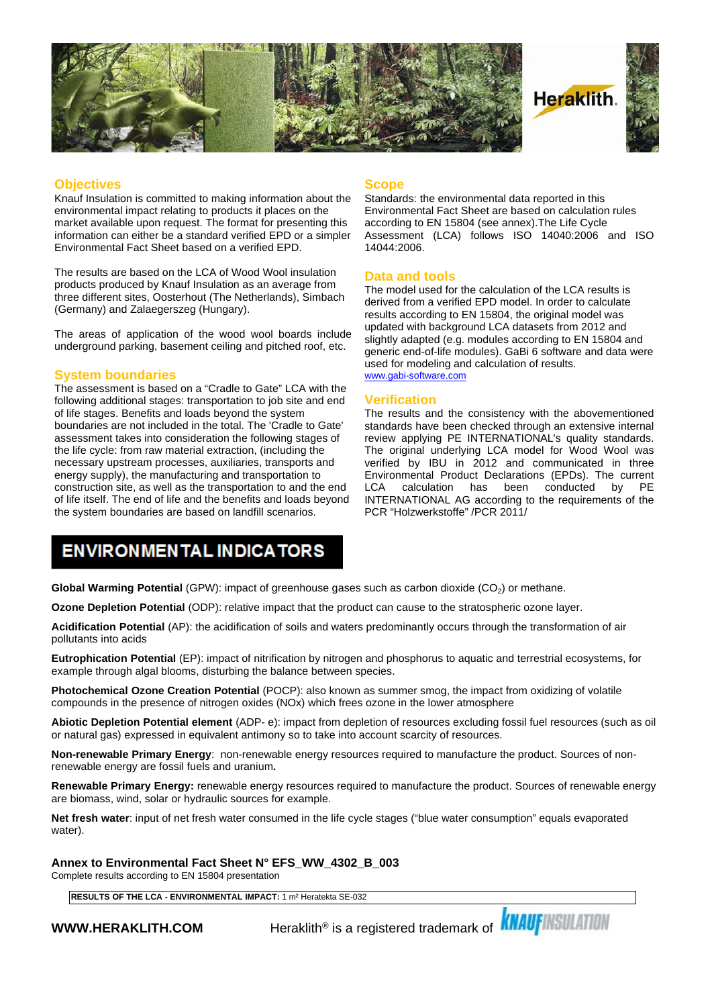

#### **Objectives**

Knauf Insulation is committed to making information about the environmental impact relating to products it places on the market available upon request. The format for presenting this information can either be a standard verified EPD or a simpler Environmental Fact Sheet based on a verified EPD.

The results are based on the LCA of Wood Wool insulation products produced by Knauf Insulation as an average from three different sites, Oosterhout (The Netherlands), Simbach (Germany) and Zalaegerszeg (Hungary).

The areas of application of the wood wool boards include underground parking, basement ceiling and pitched roof, etc.

#### **System boundaries**

The assessment is based on a "Cradle to Gate" LCA with the following additional stages: transportation to job site and end of life stages. Benefits and loads beyond the system boundaries are not included in the total. The 'Cradle to Gate' assessment takes into consideration the following stages of the life cycle: from raw material extraction, (including the necessary upstream processes, auxiliaries, transports and energy supply), the manufacturing and transportation to construction site, as well as the transportation to and the end LCA of life itself. The end of life and the benefits and loads beyond the system boundaries are based on landfill scenarios.

#### **Scope**

Standards: the environmental data reported in this Environmental Fact Sheet are based on calculation rules according to EN 15804 (see annex).The Life Cycle Assessment (LCA) follows ISO 14040:2006 and ISO 14044:2006.

#### **Data and tools**

The model used for the calculation of the LCA results is derived from a verified EPD model. In order to calculate results according to EN 15804, the original model was updated with background LCA datasets from 2012 and slightly adapted (e.g. modules according to EN 15804 and generic end-of-life modules). GaBi 6 software and data were used for modeling and calculation of results. [www.gabi-software.com](http://www.gabi-software.com)

#### **Verification**

The results and the consistency with the abovementioned standards have been checked through an extensive internal review applying PE INTERNATIONAL's quality standards. The original underlying LCA model for Wood Wool was verified by IBU in 2012 and communicated in three Environmental Product Declarations (EPDs). The current calculation has been conducted INTERNATIONAL AG according to the requirements of the PCR "Holzwerkstoffe" /PCR 2011/

### **ENVIRONMENTAL INDICATORS**

**Global Warming Potential** (GPW): impact of greenhouse gases such as carbon dioxide (CO<sub>2</sub>) or methane.

**Ozone Depletion Potential** (ODP): relative impact that the product can cause to the stratospheric ozone layer.

**Acidification Potential** (AP): the acidification of soils and waters predominantly occurs through the transformation of air pollutants into acids

**Eutrophication Potential** (EP): impact of nitrification by nitrogen and phosphorus to aquatic and terrestrial ecosystems, for example through algal blooms, disturbing the balance between species.

**Photochemical Ozone Creation Potential** (POCP): also known as summer smog, the impact from oxidizing of volatile compounds in the presence of nitrogen oxides (NOx) which frees ozone in the lower atmosphere

**Abiotic Depletion Potential element** (ADP- e): impact from depletion of resources excluding fossil fuel resources (such as oil or natural gas) expressed in equivalent antimony so to take into account scarcity of resources.

**Non-renewable Primary Energy**: non-renewable energy resources required to manufacture the product. Sources of nonrenewable energy are fossil fuels and uranium**.**

**Renewable Primary Energy:** renewable energy resources required to manufacture the product. Sources of renewable energy are biomass, wind, solar or hydraulic sources for example.

**Net fresh water**: input of net fresh water consumed in the life cycle stages ("blue water consumption" equals evaporated water).

**Annex to Environmental Fact Sheet N° EFS\_WW\_4302\_B\_003**

Complete results according to EN 15804 presentation

**RESULTS OF THE LCA - ENVIRONMENTAL IMPACT:** 1 m² Heratekta SE-032

**WWW.HERAKLITH.COM** Peraklith® is a registered trademark of **KNAUFINSULATION**